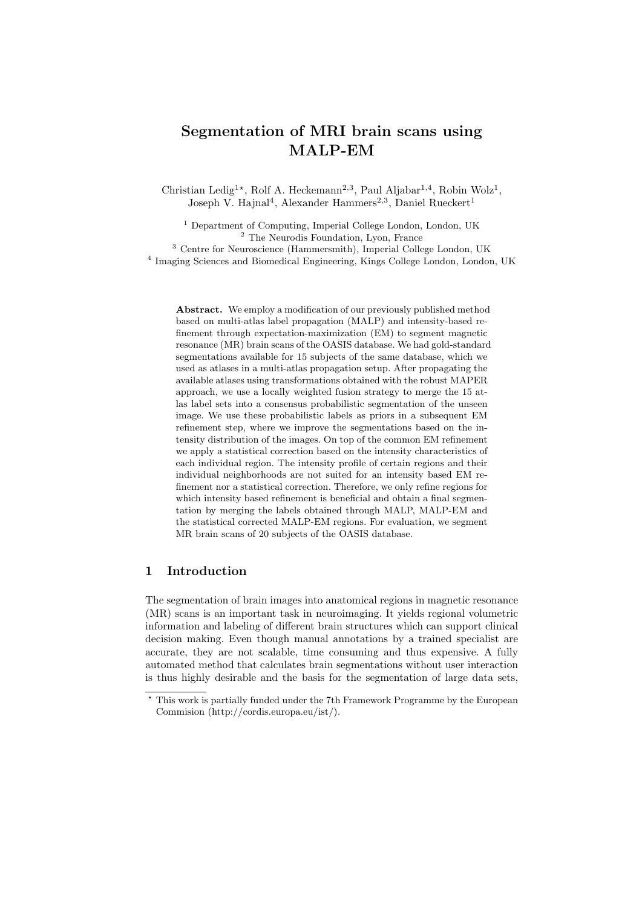# Segmentation of MRI brain scans using MALP-EM

Christian Ledig<sup>1</sup><sup>\*</sup>, Rolf A. Heckemann<sup>2,3</sup>, Paul Aljabar<sup>1,4</sup>, Robin Wolz<sup>1</sup>, Joseph V. Hajnal<sup>4</sup>, Alexander Hammers<sup>2,3</sup>, Daniel Rueckert<sup>1</sup>

<sup>1</sup> Department of Computing, Imperial College London, London, UK <sup>2</sup> The Neurodis Foundation, Lyon, France

<sup>3</sup> Centre for Neuroscience (Hammersmith), Imperial College London, UK 4 Imaging Sciences and Biomedical Engineering, Kings College London, London, UK

Abstract. We employ a modification of our previously published method based on multi-atlas label propagation (MALP) and intensity-based refinement through expectation-maximization (EM) to segment magnetic resonance (MR) brain scans of the OASIS database. We had gold-standard segmentations available for 15 subjects of the same database, which we used as atlases in a multi-atlas propagation setup. After propagating the available atlases using transformations obtained with the robust MAPER approach, we use a locally weighted fusion strategy to merge the 15 atlas label sets into a consensus probabilistic segmentation of the unseen image. We use these probabilistic labels as priors in a subsequent EM refinement step, where we improve the segmentations based on the intensity distribution of the images. On top of the common EM refinement we apply a statistical correction based on the intensity characteristics of each individual region. The intensity profile of certain regions and their individual neighborhoods are not suited for an intensity based EM refinement nor a statistical correction. Therefore, we only refine regions for which intensity based refinement is beneficial and obtain a final segmentation by merging the labels obtained through MALP, MALP-EM and the statistical corrected MALP-EM regions. For evaluation, we segment MR brain scans of 20 subjects of the OASIS database.

## 1 Introduction

The segmentation of brain images into anatomical regions in magnetic resonance (MR) scans is an important task in neuroimaging. It yields regional volumetric information and labeling of different brain structures which can support clinical decision making. Even though manual annotations by a trained specialist are accurate, they are not scalable, time consuming and thus expensive. A fully automated method that calculates brain segmentations without user interaction is thus highly desirable and the basis for the segmentation of large data sets,

<sup>?</sup> This work is partially funded under the 7th Framework Programme by the European Commision (http://cordis.europa.eu/ist/).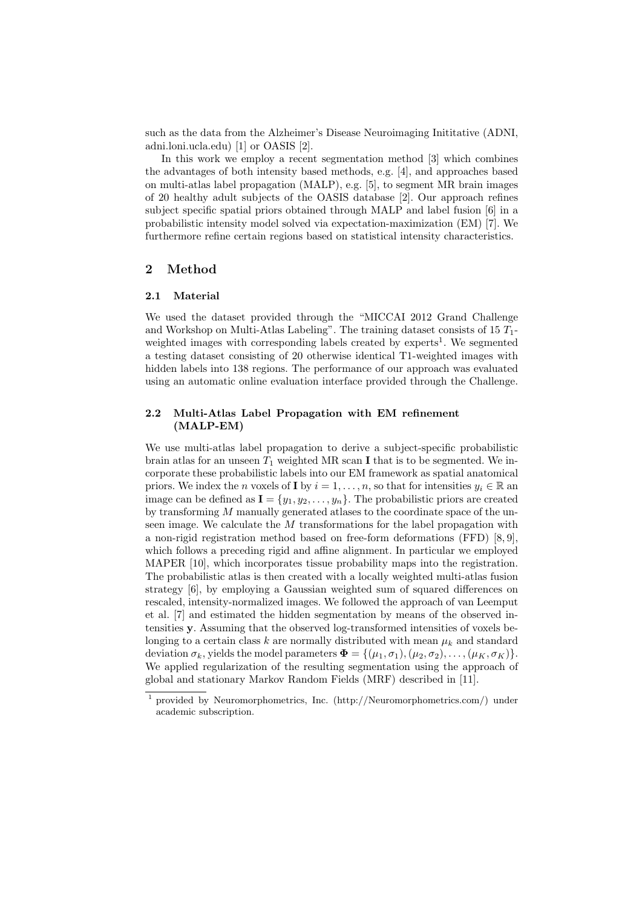such as the data from the Alzheimer's Disease Neuroimaging Inititative (ADNI, adni.loni.ucla.edu) [1] or OASIS [2].

In this work we employ a recent segmentation method [3] which combines the advantages of both intensity based methods, e.g. [4], and approaches based on multi-atlas label propagation (MALP), e.g. [5], to segment MR brain images of 20 healthy adult subjects of the OASIS database [2]. Our approach refines subject specific spatial priors obtained through MALP and label fusion [6] in a probabilistic intensity model solved via expectation-maximization (EM) [7]. We furthermore refine certain regions based on statistical intensity characteristics.

## 2 Method

#### 2.1 Material

We used the dataset provided through the "MICCAI 2012 Grand Challenge and Workshop on Multi-Atlas Labeling". The training dataset consists of  $15 T_1$ weighted images with corresponding labels created by experts<sup>1</sup>. We segmented a testing dataset consisting of 20 otherwise identical T1-weighted images with hidden labels into 138 regions. The performance of our approach was evaluated using an automatic online evaluation interface provided through the Challenge.

#### 2.2 Multi-Atlas Label Propagation with EM refinement (MALP-EM)

We use multi-atlas label propagation to derive a subject-specific probabilistic brain atlas for an unseen  $T_1$  weighted MR scan I that is to be segmented. We incorporate these probabilistic labels into our EM framework as spatial anatomical priors. We index the n voxels of **I** by  $i = 1, \ldots, n$ , so that for intensities  $y_i \in \mathbb{R}$  and image can be defined as  $I = \{y_1, y_2, \ldots, y_n\}$ . The probabilistic priors are created by transforming  $M$  manually generated atlases to the coordinate space of the unseen image. We calculate the  $M$  transformations for the label propagation with a non-rigid registration method based on free-form deformations (FFD) [8, 9], which follows a preceding rigid and affine alignment. In particular we employed MAPER [10], which incorporates tissue probability maps into the registration. The probabilistic atlas is then created with a locally weighted multi-atlas fusion strategy [6], by employing a Gaussian weighted sum of squared differences on rescaled, intensity-normalized images. We followed the approach of van Leemput et al. [7] and estimated the hidden segmentation by means of the observed intensities y. Assuming that the observed log-transformed intensities of voxels belonging to a certain class  $k$  are normally distributed with mean  $\mu_k$  and standard deviation  $\sigma_k$ , yields the model parameters  $\boldsymbol{\Phi} = \{(\mu_1, \sigma_1), (\mu_2, \sigma_2), \ldots, (\mu_K, \sigma_K)\}.$ We applied regularization of the resulting segmentation using the approach of global and stationary Markov Random Fields (MRF) described in [11].

<sup>1</sup> provided by Neuromorphometrics, Inc. (http://Neuromorphometrics.com/) under academic subscription.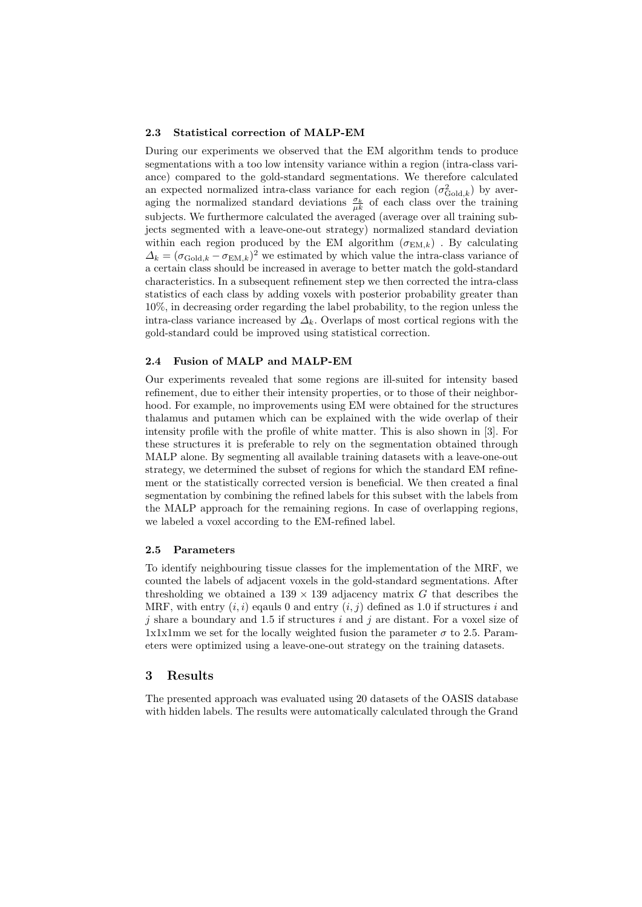#### 2.3 Statistical correction of MALP-EM

During our experiments we observed that the EM algorithm tends to produce segmentations with a too low intensity variance within a region (intra-class variance) compared to the gold-standard segmentations. We therefore calculated an expected normalized intra-class variance for each region  $(\sigma_{\text{Gold},k}^2)$  by averaging the normalized standard deviations  $\frac{\sigma_k}{\mu k}$  of each class over the training subjects. We furthermore calculated the averaged (average over all training subjects segmented with a leave-one-out strategy) normalized standard deviation within each region produced by the EM algorithm  $(\sigma_{EM,k})$ . By calculating  $\Delta_k = (\sigma_{\text{Gold},k} - \sigma_{\text{EM},k})^2$  we estimated by which value the intra-class variance of a certain class should be increased in average to better match the gold-standard characteristics. In a subsequent refinement step we then corrected the intra-class statistics of each class by adding voxels with posterior probability greater than 10%, in decreasing order regarding the label probability, to the region unless the intra-class variance increased by  $\Delta_k$ . Overlaps of most cortical regions with the gold-standard could be improved using statistical correction.

#### 2.4 Fusion of MALP and MALP-EM

Our experiments revealed that some regions are ill-suited for intensity based refinement, due to either their intensity properties, or to those of their neighborhood. For example, no improvements using EM were obtained for the structures thalamus and putamen which can be explained with the wide overlap of their intensity profile with the profile of white matter. This is also shown in [3]. For these structures it is preferable to rely on the segmentation obtained through MALP alone. By segmenting all available training datasets with a leave-one-out strategy, we determined the subset of regions for which the standard EM refinement or the statistically corrected version is beneficial. We then created a final segmentation by combining the refined labels for this subset with the labels from the MALP approach for the remaining regions. In case of overlapping regions, we labeled a voxel according to the EM-refined label.

#### 2.5 Parameters

To identify neighbouring tissue classes for the implementation of the MRF, we counted the labels of adjacent voxels in the gold-standard segmentations. After thresholding we obtained a  $139 \times 139$  adjacency matrix G that describes the MRF, with entry  $(i, i)$  eqauls 0 and entry  $(i, j)$  defined as 1.0 if structures i and i share a boundary and 1.5 if structures i and i are distant. For a voxel size of 1x1x1mm we set for the locally weighted fusion the parameter  $\sigma$  to 2.5. Parameters were optimized using a leave-one-out strategy on the training datasets.

## 3 Results

The presented approach was evaluated using 20 datasets of the OASIS database with hidden labels. The results were automatically calculated through the Grand